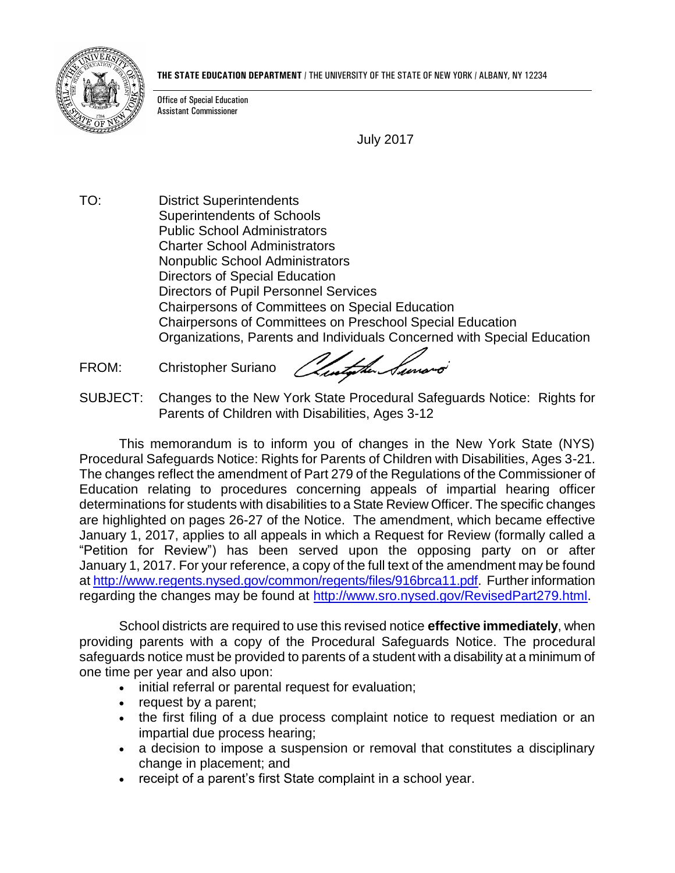

**THE STATE EDUCATION DEPARTMENT** / THE UNIVERSITY OF THE STATE OF NEW YORK / ALBANY, NY 12234

Office of Special Education Assistant Commissioner

July 2017

TO: District Superintendents Superintendents of Schools Public School Administrators Charter School Administrators Nonpublic School Administrators Directors of Special Education Directors of Pupil Personnel Services Chairpersons of Committees on Special Education Chairpersons of Committees on Preschool Special Education Organizations, Parents and Individuals Concerned with Special Education

FROM: Christopher Suriano

Austalie Surrond

SUBJECT: Changes to the New York State Procedural Safeguards Notice: Rights for Parents of Children with Disabilities, Ages 3-12

This memorandum is to inform you of changes in the New York State (NYS) Procedural Safeguards Notice: Rights for Parents of Children with Disabilities, Ages 3-21. The changes reflect the amendment of Part 279 of the Regulations of the Commissioner of Education relating to procedures concerning appeals of impartial hearing officer determinations for students with disabilities to a State Review Officer. The specific changes are highlighted on pages 26-27 of the Notice. The amendment, which became effective January 1, 2017, applies to all appeals in which a Request for Review (formally called a "Petition for Review") has been served upon the opposing party on or after January 1, 2017. For your reference, a copy of the full text of the amendment may be found a[t http://www.regents.nysed.gov/common/regents/files/916brca11.pdf.](http://www.regents.nysed.gov/common/regents/files/916brca11.pdf) Further information regarding the changes may be found at [http://www.sro.nysed.gov/RevisedPart279.html.](http://www.sro.nysed.gov/RevisedPart279.html)

School districts are required to use this revised notice **effective immediately**, when providing parents with a copy of the Procedural Safeguards Notice. The procedural safeguards notice must be provided to parents of a student with a disability at a minimum of one time per year and also upon:

- initial referral or parental request for evaluation;
- request by a parent;
- the first filing of a due process complaint notice to request mediation or an impartial due process hearing;
- a decision to impose a suspension or removal that constitutes a disciplinary change in placement; and
- receipt of a parent's first State complaint in a school year.